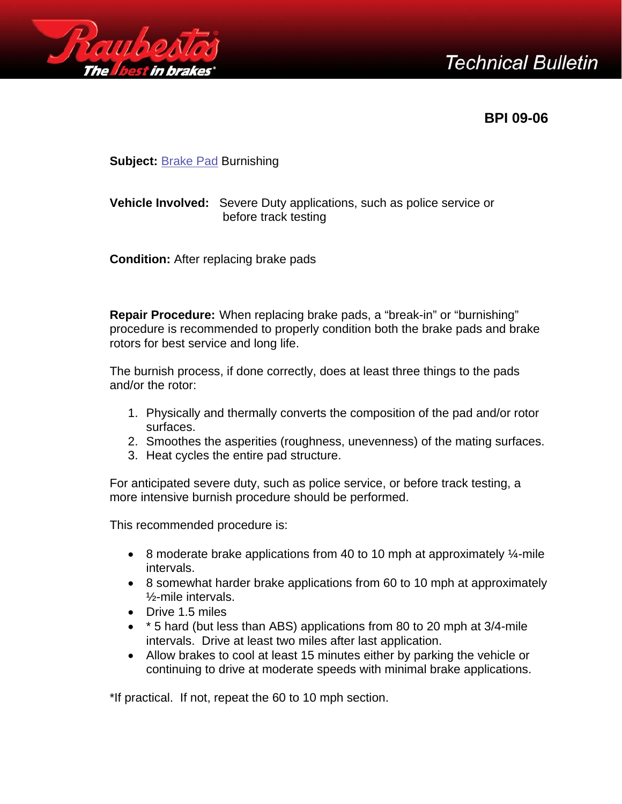



**BPI 09-06** 

**Subject:** [Brake Pad](https://www.carid.com/brake-parts.html) Burnishing

## **Vehicle Involved:** Severe Duty applications, such as police service or before track testing

**Condition:** After replacing brake pads

**Repair Procedure:** When replacing brake pads, a "break-in" or "burnishing" procedure is recommended to properly condition both the brake pads and brake rotors for best service and long life.

The burnish process, if done correctly, does at least three things to the pads and/or the rotor:

- 1. Physically and thermally converts the composition of the pad and/or rotor surfaces.
- 2. Smoothes the asperities (roughness, unevenness) of the mating surfaces.
- 3. Heat cycles the entire pad structure.

For anticipated severe duty, such as police service, or before track testing, a more intensive burnish procedure should be performed.

This recommended procedure is:

- 8 moderate brake applications from 40 to 10 mph at approximately  $\frac{1}{4}$ -mile intervals.
- 8 somewhat harder brake applications from 60 to 10 mph at approximately ½-mile intervals.
- Drive 1.5 miles
- \* 5 hard (but less than ABS) applications from 80 to 20 mph at 3/4-mile intervals. Drive at least two miles after last application.
- Allow brakes to cool at least 15 minutes either by parking the vehicle or continuing to drive at moderate speeds with minimal brake applications.

\*If practical. If not, repeat the 60 to 10 mph section.